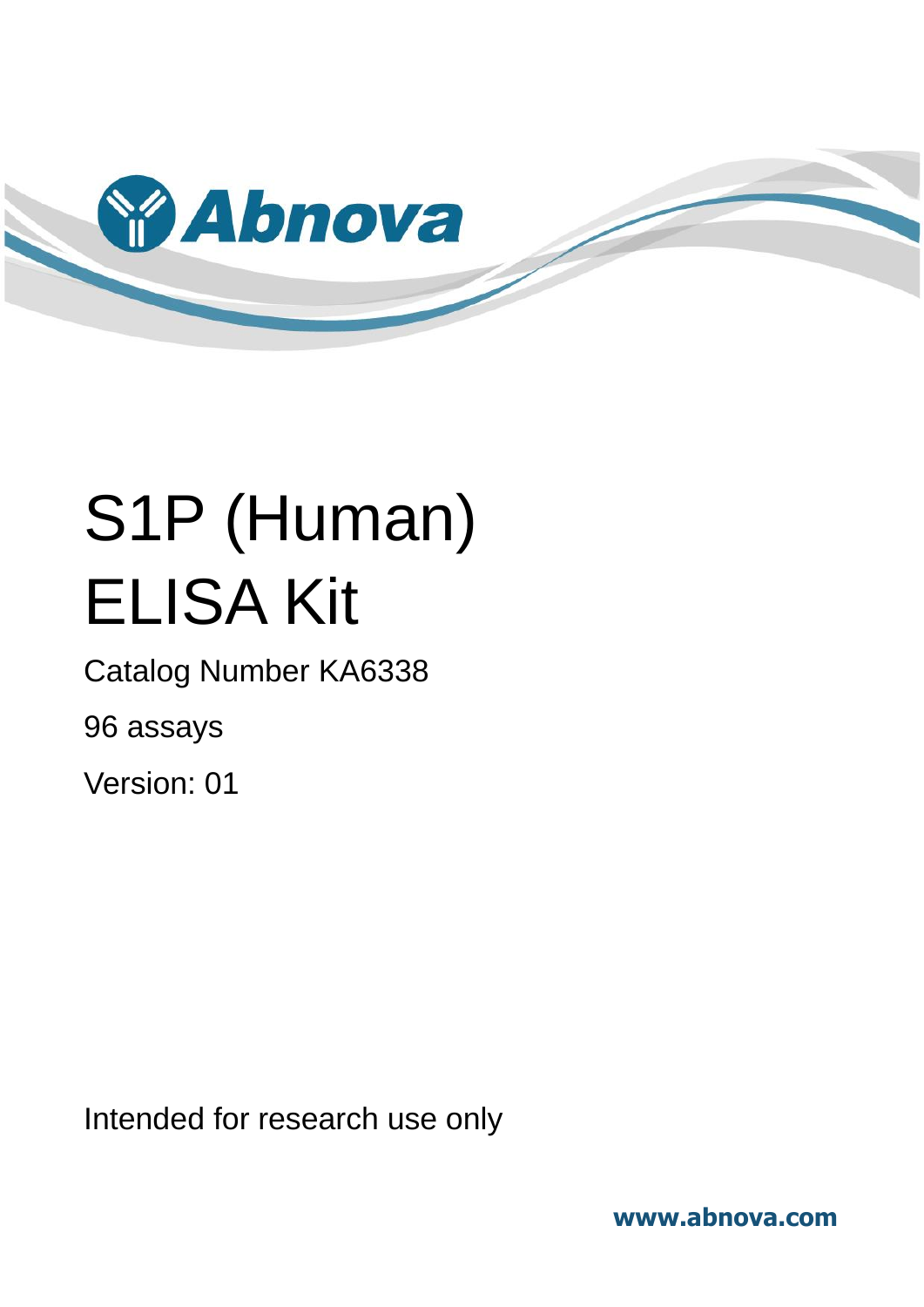

# S1P (Human) ELISA Kit

Catalog Number KA6338

96 assays

Version: 01

Intended for research use only

**www.abnova.com**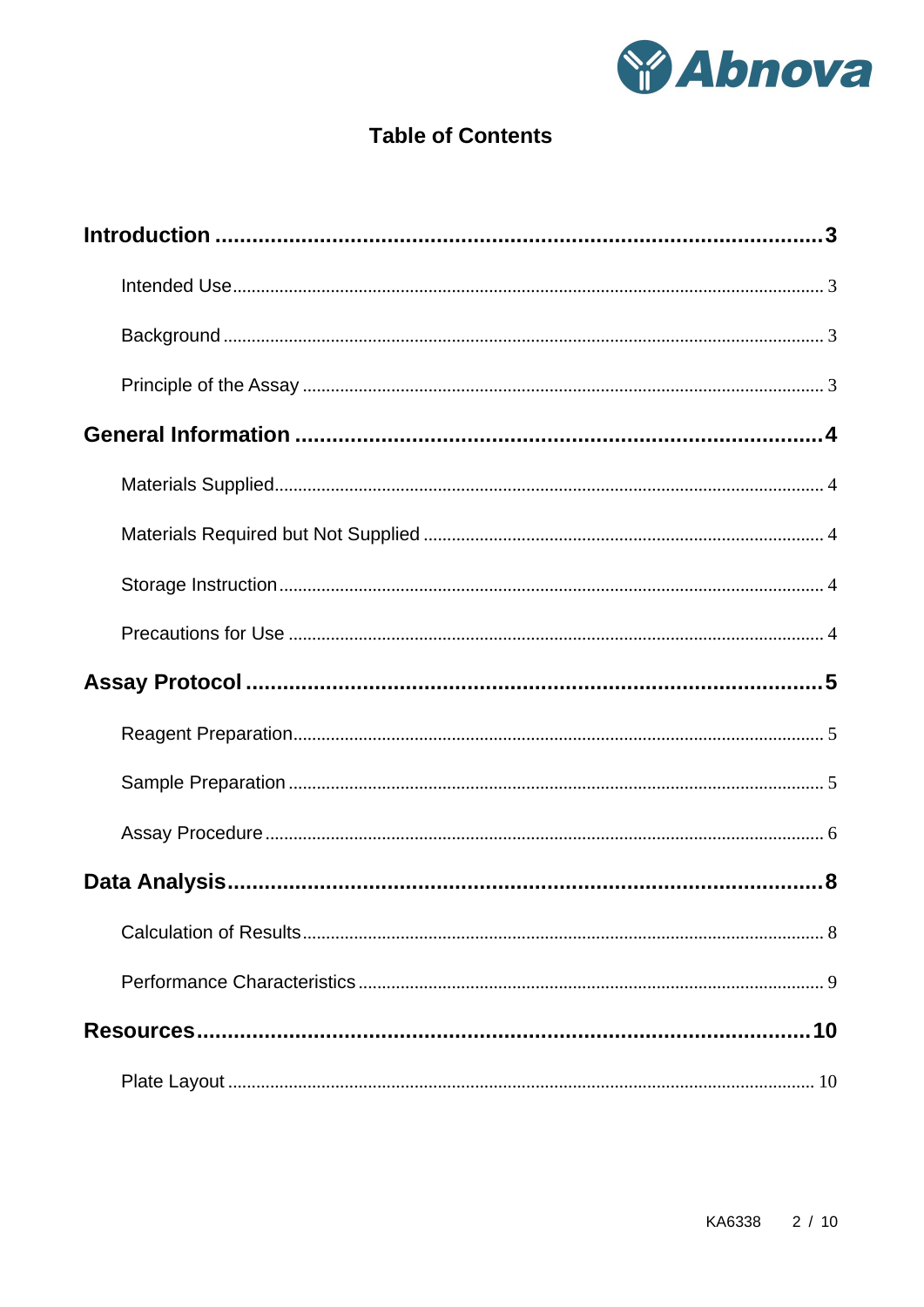

## **Table of Contents**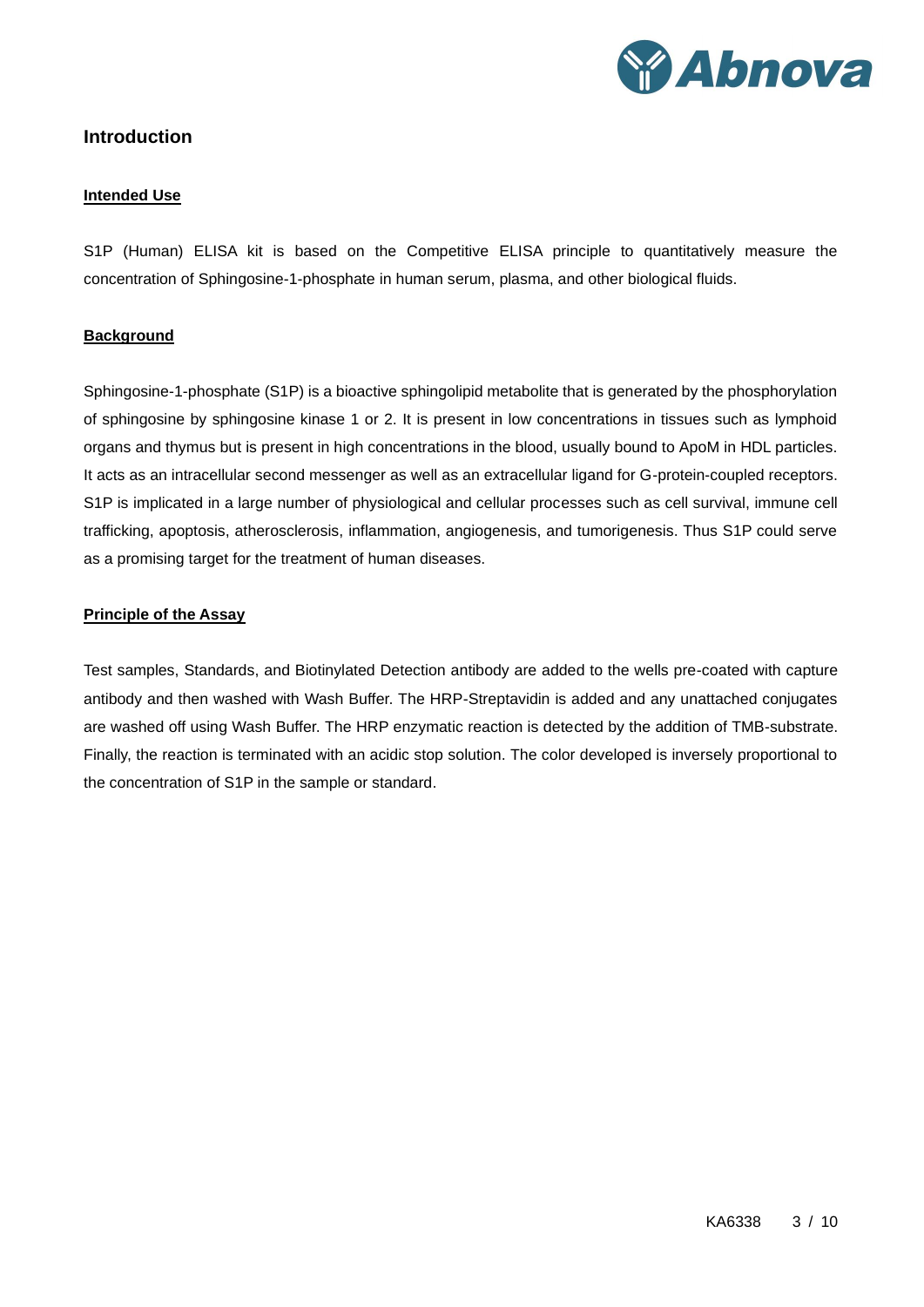

## <span id="page-2-1"></span><span id="page-2-0"></span>**Introduction**

#### **Intended Use**

S1P (Human) ELISA kit is based on the Competitive ELISA principle to quantitatively measure the concentration of Sphingosine-1-phosphate in human serum, plasma, and other biological fluids.

## <span id="page-2-2"></span>**Background**

Sphingosine-1-phosphate (S1P) is a bioactive sphingolipid metabolite that is generated by the phosphorylation of sphingosine by sphingosine kinase 1 or 2. It is present in low concentrations in tissues such as lymphoid organs and thymus but is present in high concentrations in the blood, usually bound to ApoM in HDL particles. It acts as an intracellular second messenger as well as an extracellular ligand for G-protein-coupled receptors. S1P is implicated in a large number of physiological and cellular processes such as cell survival, immune cell trafficking, apoptosis, atherosclerosis, inflammation, angiogenesis, and tumorigenesis. Thus S1P could serve as a promising target for the treatment of human diseases.

#### <span id="page-2-3"></span>**Principle of the Assay**

Test samples, Standards, and Biotinylated Detection antibody are added to the wells pre-coated with capture antibody and then washed with Wash Buffer. The HRP-Streptavidin is added and any unattached conjugates are washed off using Wash Buffer. The HRP enzymatic reaction is detected by the addition of TMB-substrate. Finally, the reaction is terminated with an acidic stop solution. The color developed is inversely proportional to the concentration of S1P in the sample or standard.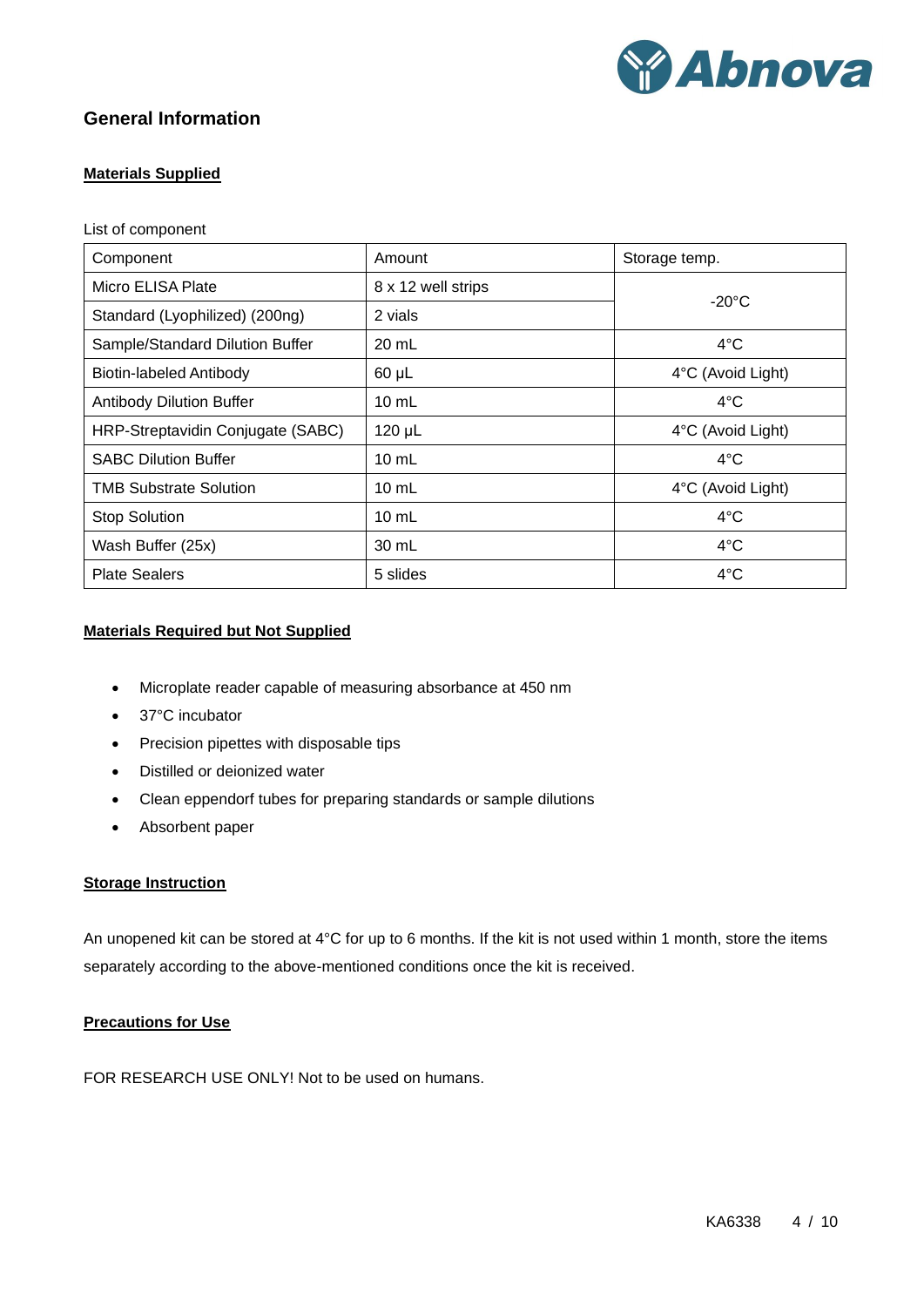

## <span id="page-3-1"></span><span id="page-3-0"></span>**General Information**

## **Materials Supplied**

#### List of component

| Component                         | Amount             | Storage temp.     |  |
|-----------------------------------|--------------------|-------------------|--|
| Micro ELISA Plate                 | 8 x 12 well strips |                   |  |
| Standard (Lyophilized) (200ng)    | 2 vials            | $-20^{\circ}$ C   |  |
| Sample/Standard Dilution Buffer   | 20 mL              | $4^{\circ}$ C     |  |
| Biotin-labeled Antibody           | $60 \mu L$         | 4°C (Avoid Light) |  |
| <b>Antibody Dilution Buffer</b>   | $10 \text{ mL}$    | $4^{\circ}$ C     |  |
| HRP-Streptavidin Conjugate (SABC) | 120 µL             | 4°C (Avoid Light) |  |
| <b>SABC Dilution Buffer</b>       | $10 \text{ mL}$    | $4^{\circ}$ C     |  |
| <b>TMB Substrate Solution</b>     | $10 \text{ mL}$    | 4°C (Avoid Light) |  |
| <b>Stop Solution</b>              | $10 \text{ mL}$    | $4^{\circ}$ C     |  |
| Wash Buffer (25x)                 | 30 mL              | $4^{\circ}$ C     |  |
| <b>Plate Sealers</b>              | 5 slides           | $4^{\circ}$ C     |  |

## <span id="page-3-2"></span>**Materials Required but Not Supplied**

- Microplate reader capable of measuring absorbance at 450 nm
- 37°C incubator
- Precision pipettes with disposable tips
- Distilled or deionized water
- Clean eppendorf tubes for preparing standards or sample dilutions
- Absorbent paper

## <span id="page-3-3"></span>**Storage Instruction**

An unopened kit can be stored at 4°C for up to 6 months. If the kit is not used within 1 month, store the items separately according to the above-mentioned conditions once the kit is received.

## <span id="page-3-4"></span>**Precautions for Use**

FOR RESEARCH USE ONLY! Not to be used on humans.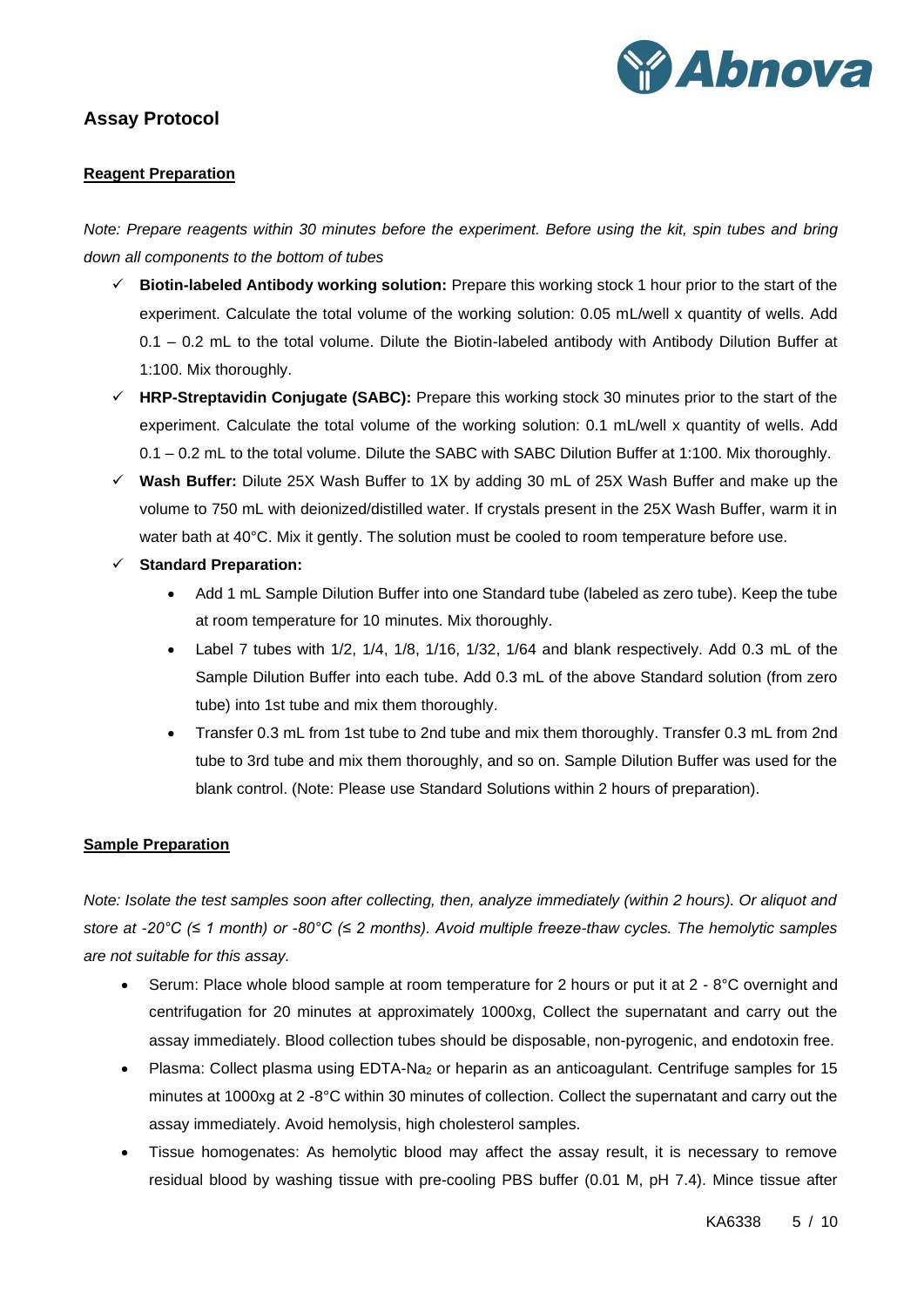

## <span id="page-4-1"></span><span id="page-4-0"></span>**Assay Protocol**

## **Reagent Preparation**

*Note: Prepare reagents within 30 minutes before the experiment. Before using the kit, spin tubes and bring down all components to the bottom of tubes*

- ✓ **Biotin-labeled Antibody working solution:** Prepare this working stock 1 hour prior to the start of the experiment. Calculate the total volume of the working solution: 0.05 mL/well x quantity of wells. Add 0.1 – 0.2 mL to the total volume. Dilute the Biotin-labeled antibody with Antibody Dilution Buffer at 1:100. Mix thoroughly.
- ✓ **HRP-Streptavidin Conjugate (SABC):** Prepare this working stock 30 minutes prior to the start of the experiment. Calculate the total volume of the working solution: 0.1 mL/well x quantity of wells. Add 0.1 – 0.2 mL to the total volume. Dilute the SABC with SABC Dilution Buffer at 1:100. Mix thoroughly.
- ✓ **Wash Buffer:** Dilute 25X Wash Buffer to 1X by adding 30 mL of 25X Wash Buffer and make up the volume to 750 mL with deionized/distilled water. If crystals present in the 25X Wash Buffer, warm it in water bath at 40°C. Mix it gently. The solution must be cooled to room temperature before use.
- ✓ **Standard Preparation:** 
	- Add 1 mL Sample Dilution Buffer into one Standard tube (labeled as zero tube). Keep the tube at room temperature for 10 minutes. Mix thoroughly.
	- Label 7 tubes with 1/2, 1/4, 1/8, 1/16, 1/32, 1/64 and blank respectively. Add 0.3 mL of the Sample Dilution Buffer into each tube. Add 0.3 mL of the above Standard solution (from zero tube) into 1st tube and mix them thoroughly.
	- Transfer 0.3 mL from 1st tube to 2nd tube and mix them thoroughly. Transfer 0.3 mL from 2nd tube to 3rd tube and mix them thoroughly, and so on. Sample Dilution Buffer was used for the blank control. (Note: Please use Standard Solutions within 2 hours of preparation).

#### <span id="page-4-2"></span>**Sample Preparation**

*Note: Isolate the test samples soon after collecting, then, analyze immediately (within 2 hours). Or aliquot and store at -20°C (≤ 1 month) or -80°C (≤ 2 months). Avoid multiple freeze-thaw cycles. The hemolytic samples are not suitable for this assay.*

- Serum: Place whole blood sample at room temperature for 2 hours or put it at 2 8°C overnight and centrifugation for 20 minutes at approximately 1000xg, Collect the supernatant and carry out the assay immediately. Blood collection tubes should be disposable, non-pyrogenic, and endotoxin free.
- Plasma: Collect plasma using EDTA-Na<sup>2</sup> or heparin as an anticoagulant. Centrifuge samples for 15 minutes at 1000xg at 2 -8°C within 30 minutes of collection. Collect the supernatant and carry out the assay immediately. Avoid hemolysis, high cholesterol samples.
- Tissue homogenates: As hemolytic blood may affect the assay result, it is necessary to remove residual blood by washing tissue with pre-cooling PBS buffer (0.01 M, pH 7.4). Mince tissue after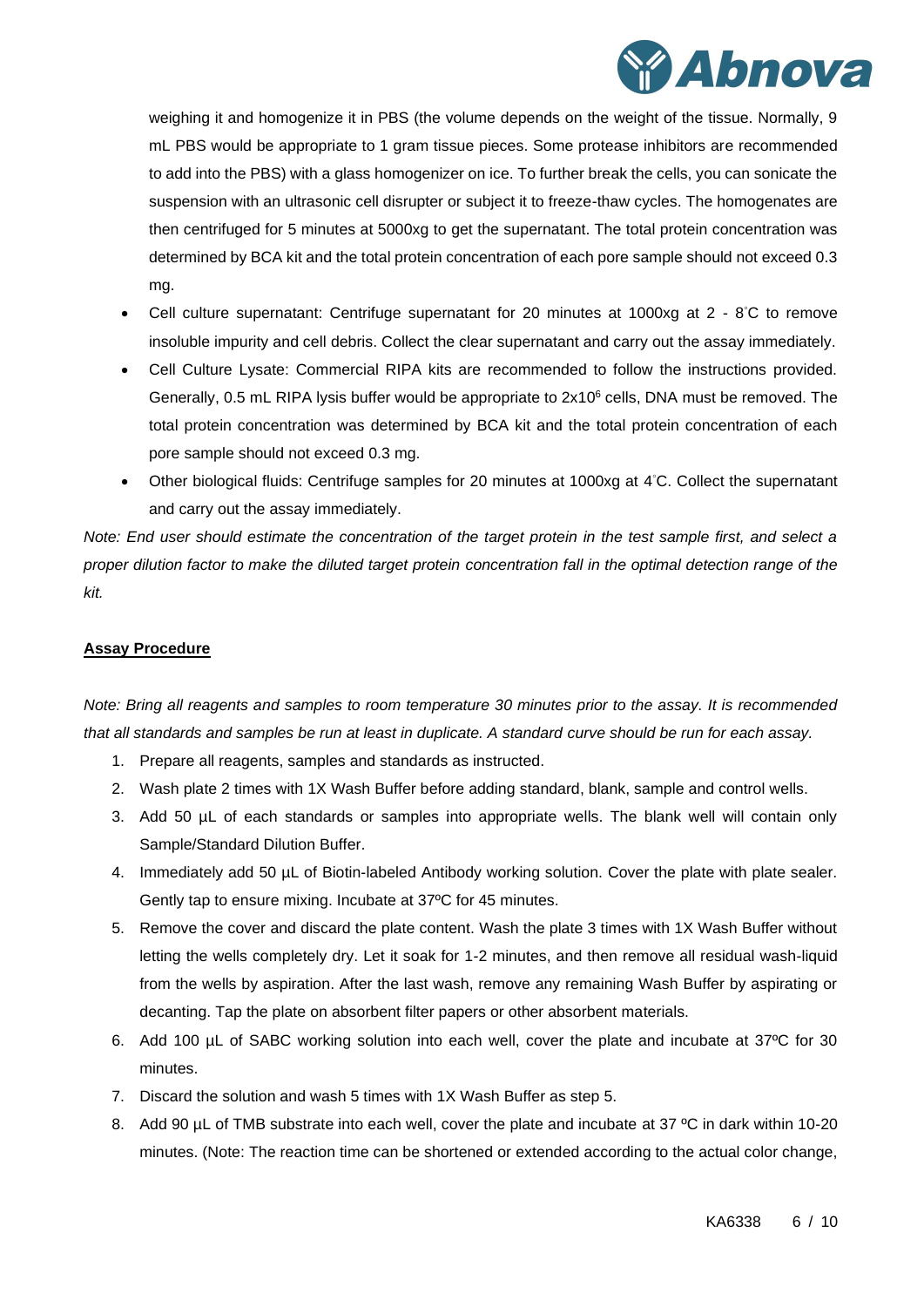

weighing it and homogenize it in PBS (the volume depends on the weight of the tissue. Normally, 9 mL PBS would be appropriate to 1 gram tissue pieces. Some protease inhibitors are recommended to add into the PBS) with a glass homogenizer on ice. To further break the cells, you can sonicate the suspension with an ultrasonic cell disrupter or subject it to freeze-thaw cycles. The homogenates are then centrifuged for 5 minutes at 5000xg to get the supernatant. The total protein concentration was determined by BCA kit and the total protein concentration of each pore sample should not exceed 0.3 mg.

- Cell culture supernatant: Centrifuge supernatant for 20 minutes at 1000xg at 2 8°C to remove insoluble impurity and cell debris. Collect the clear supernatant and carry out the assay immediately.
- Cell Culture Lysate: Commercial RIPA kits are recommended to follow the instructions provided. Generally, 0.5 mL RIPA lysis buffer would be appropriate to 2x10<sup>6</sup> cells, DNA must be removed. The total protein concentration was determined by BCA kit and the total protein concentration of each pore sample should not exceed 0.3 mg.
- Other biological fluids: Centrifuge samples for 20 minutes at 1000xg at 4°C. Collect the supernatant and carry out the assay immediately.

*Note: End user should estimate the concentration of the target protein in the test sample first, and select a proper dilution factor to make the diluted target protein concentration fall in the optimal detection range of the kit.*

## <span id="page-5-0"></span>**Assay Procedure**

*Note: Bring all reagents and samples to room temperature 30 minutes prior to the assay. It is recommended that all standards and samples be run at least in duplicate. A standard curve should be run for each assay.* 

- 1. Prepare all reagents, samples and standards as instructed.
- 2. Wash plate 2 times with 1X Wash Buffer before adding standard, blank, sample and control wells.
- 3. Add 50 µL of each standards or samples into appropriate wells. The blank well will contain only Sample/Standard Dilution Buffer.
- 4. Immediately add 50 µL of Biotin-labeled Antibody working solution. Cover the plate with plate sealer. Gently tap to ensure mixing. Incubate at 37ºC for 45 minutes.
- 5. Remove the cover and discard the plate content. Wash the plate 3 times with 1X Wash Buffer without letting the wells completely dry. Let it soak for 1-2 minutes, and then remove all residual wash-liquid from the wells by aspiration. After the last wash, remove any remaining Wash Buffer by aspirating or decanting. Tap the plate on absorbent filter papers or other absorbent materials.
- 6. Add 100 µL of SABC working solution into each well, cover the plate and incubate at 37ºC for 30 minutes.
- 7. Discard the solution and wash 5 times with 1X Wash Buffer as step 5.
- 8. Add 90 uL of TMB substrate into each well, cover the plate and incubate at 37 °C in dark within 10-20 minutes. (Note: The reaction time can be shortened or extended according to the actual color change,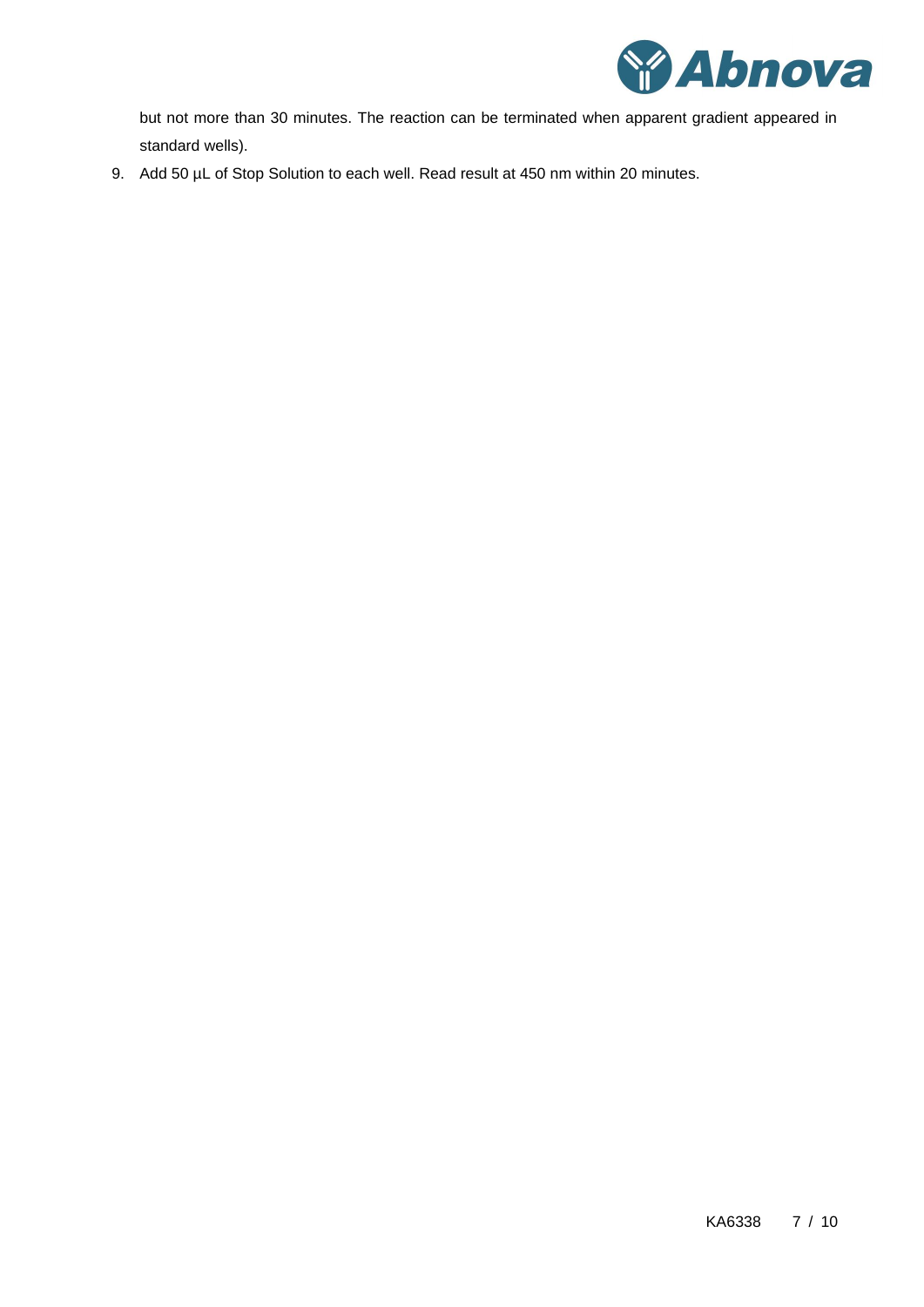

but not more than 30 minutes. The reaction can be terminated when apparent gradient appeared in standard wells).

9. Add 50 µL of Stop Solution to each well. Read result at 450 nm within 20 minutes.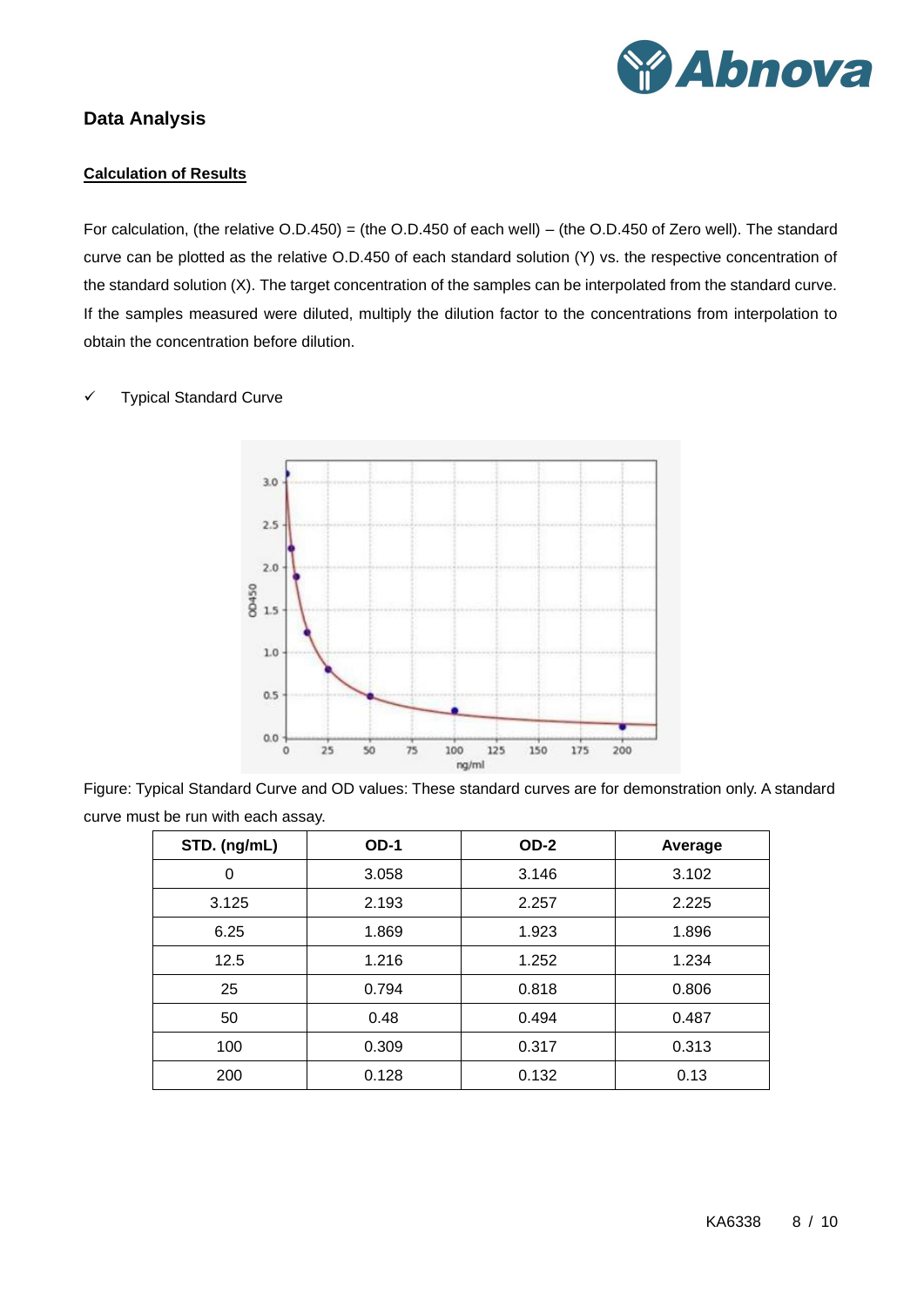

## <span id="page-7-1"></span><span id="page-7-0"></span>**Data Analysis**

## **Calculation of Results**

For calculation, (the relative O.D.450) = (the O.D.450 of each well) – (the O.D.450 of Zero well). The standard curve can be plotted as the relative O.D.450 of each standard solution (Y) vs. the respective concentration of the standard solution (X). The target concentration of the samples can be interpolated from the standard curve. If the samples measured were diluted, multiply the dilution factor to the concentrations from interpolation to obtain the concentration before dilution.

#### ✓ Typical Standard Curve



Figure: Typical Standard Curve and OD values: These standard curves are for demonstration only. A standard curve must be run with each assay.

| STD. (ng/mL) | $OD-1$<br>$OD-2$ |       | Average |  |
|--------------|------------------|-------|---------|--|
| 0            | 3.058            | 3.146 | 3.102   |  |
| 3.125        | 2.193            | 2.257 | 2.225   |  |
| 6.25         | 1.869            | 1.923 | 1.896   |  |
| 12.5         | 1.216            | 1.252 | 1.234   |  |
| 25           | 0.794            | 0.818 | 0.806   |  |
| 50           | 0.48             | 0.494 | 0.487   |  |
| 100          | 0.309            | 0.317 | 0.313   |  |
| 200          | 0.128            | 0.132 | 0.13    |  |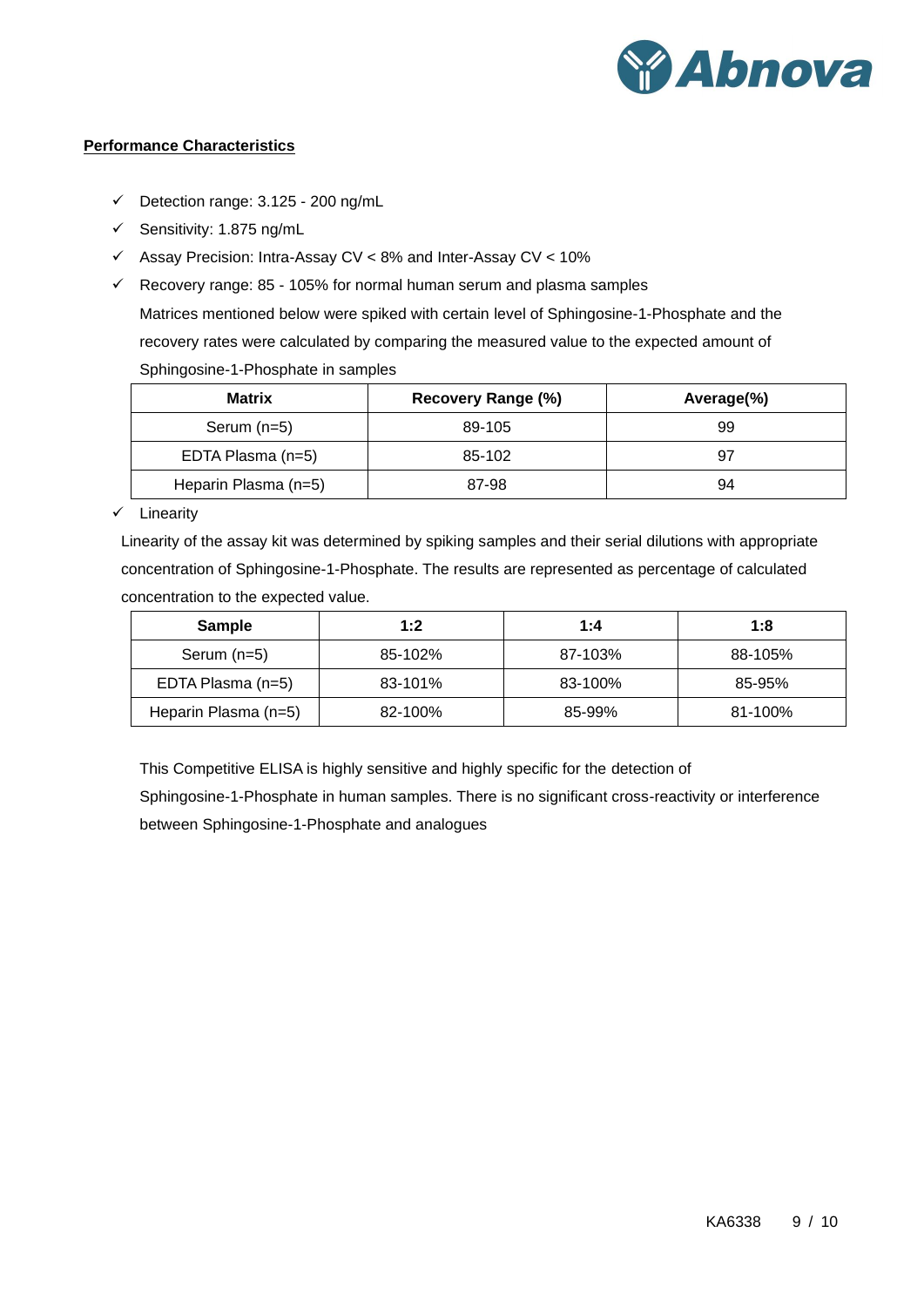

## <span id="page-8-0"></span>**Performance Characteristics**

- $\checkmark$  Detection range: 3.125 200 ng/mL
- ✓ Sensitivity: 1.875 ng/mL
- ✓ Assay Precision: Intra-Assay CV < 8% and Inter-Assay CV < 10%
- $\checkmark$  Recovery range: 85 105% for normal human serum and plasma samples Matrices mentioned below were spiked with certain level of Sphingosine-1-Phosphate and the recovery rates were calculated by comparing the measured value to the expected amount of Sphingosine-1-Phosphate in samples

| <b>Matrix</b>        | Recovery Range (%) | Average(%) |  |
|----------------------|--------------------|------------|--|
| Serum $(n=5)$        | 89-105             | 99         |  |
| EDTA Plasma (n=5)    | 85-102             | 97         |  |
| Heparin Plasma (n=5) | 87-98              | 94         |  |

✓ Linearity

Linearity of the assay kit was determined by spiking samples and their serial dilutions with appropriate concentration of Sphingosine-1-Phosphate. The results are represented as percentage of calculated concentration to the expected value.

| <b>Sample</b>        | 1:2     | 1:4     | 1:8     |
|----------------------|---------|---------|---------|
| Serum $(n=5)$        | 85-102% | 87-103% | 88-105% |
| EDTA Plasma (n=5)    | 83-101% | 83-100% | 85-95%  |
| Heparin Plasma (n=5) | 82-100% | 85-99%  | 81-100% |

This Competitive ELISA is highly sensitive and highly specific for the detection of

Sphingosine-1-Phosphate in human samples. There is no significant cross-reactivity or interference between Sphingosine-1-Phosphate and analogues